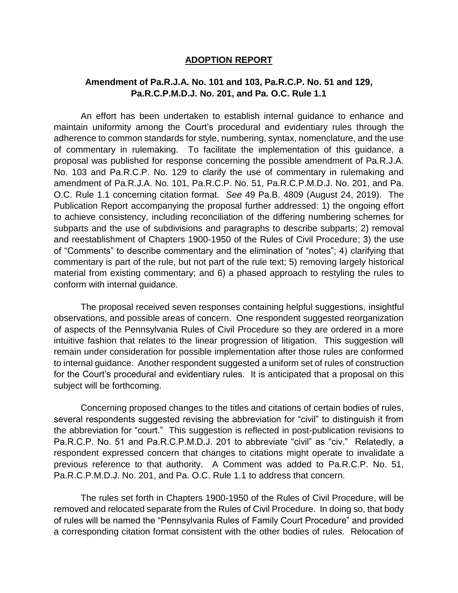## **ADOPTION REPORT**

## **Amendment of Pa.R.J.A. No. 101 and 103, Pa.R.C.P. No. 51 and 129, Pa.R.C.P.M.D.J. No. 201, and Pa. O.C. Rule 1.1**

An effort has been undertaken to establish internal guidance to enhance and maintain uniformity among the Court's procedural and evidentiary rules through the adherence to common standards for style, numbering, syntax, nomenclature, and the use of commentary in rulemaking. To facilitate the implementation of this guidance, a proposal was published for response concerning the possible amendment of Pa.R.J.A. No. 103 and Pa.R.C.P. No. 129 to clarify the use of commentary in rulemaking and amendment of Pa.R.J.A. No. 101, Pa.R.C.P. No. 51, Pa.R.C.P.M.D.J. No. 201, and Pa. O.C. Rule 1.1 concerning citation format. *See* 49 Pa.B. 4809 (August 24, 2019). The Publication Report accompanying the proposal further addressed: 1) the ongoing effort to achieve consistency, including reconciliation of the differing numbering schemes for subparts and the use of subdivisions and paragraphs to describe subparts; 2) removal and reestablishment of Chapters 1900-1950 of the Rules of Civil Procedure; 3) the use of "Comments" to describe commentary and the elimination of "notes"; 4) clarifying that commentary is part of the rule, but not part of the rule text; 5) removing largely historical material from existing commentary; and 6) a phased approach to restyling the rules to conform with internal guidance.

The proposal received seven responses containing helpful suggestions, insightful observations, and possible areas of concern. One respondent suggested reorganization of aspects of the Pennsylvania Rules of Civil Procedure so they are ordered in a more intuitive fashion that relates to the linear progression of litigation. This suggestion will remain under consideration for possible implementation after those rules are conformed to internal guidance. Another respondent suggested a uniform set of rules of construction for the Court's procedural and evidentiary rules. It is anticipated that a proposal on this subject will be forthcoming.

Concerning proposed changes to the titles and citations of certain bodies of rules, several respondents suggested revising the abbreviation for "civil" to distinguish it from the abbreviation for "court." This suggestion is reflected in post-publication revisions to Pa.R.C.P. No. 51 and Pa.R.C.P.M.D.J. 201 to abbreviate "civil" as "civ." Relatedly, a respondent expressed concern that changes to citations might operate to invalidate a previous reference to that authority. A Comment was added to Pa.R.C.P. No. 51, Pa.R.C.P.M.D.J. No. 201, and Pa. O.C. Rule 1.1 to address that concern.

The rules set forth in Chapters 1900-1950 of the Rules of Civil Procedure, will be removed and relocated separate from the Rules of Civil Procedure. In doing so, that body of rules will be named the "Pennsylvania Rules of Family Court Procedure" and provided a corresponding citation format consistent with the other bodies of rules. Relocation of